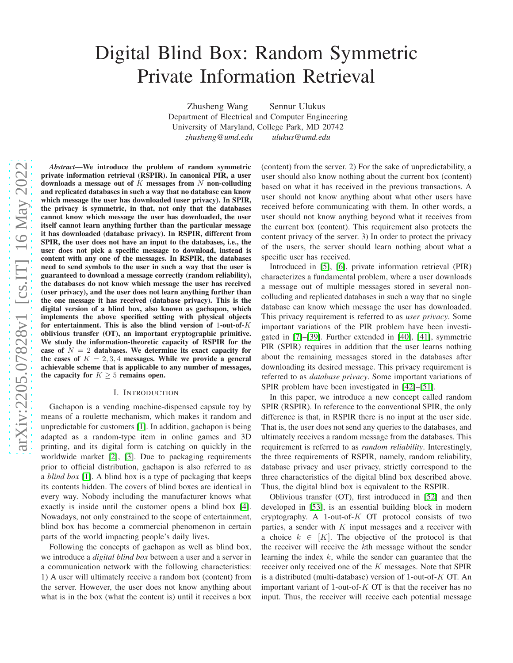# Digital Blind Box: Random Symmetric Private Information Retrieval

Zhusheng Wang Sennur Ulukus Department of Electrical and Computer Engineering University of Maryland, College Park, MD 20742 *zhusheng@umd.edu ulukus@umd.edu*

*Abstract*—We introduce the problem of random symmetric private information retrieval (RSPIR). In canonical PIR, a user downloads a message out of  $K$  messages from  $N$  non-colluding and replicated databases in such a way that no database can know which message the user has downloaded (user privacy). In SPIR, the privacy is symmetric, in that, not only that the databases cannot know which message the user has downloaded, the user itself cannot learn anything further than the particular message it has downloaded (database privacy). In RSPIR, different from SPIR, the user does not have an input to the databases, i.e., the user does not pick a specific message to download, instead is content with any one of the messages. In RSPIR, the databases need to send symbols to the user in such a way that the user is guaranteed to download a message correctly (random reliability), the databases do not know which message the user has received (user privacy), and the user does not learn anything further than the one message it has received (database privacy). This is the digital version of a blind box, also known as gachapon, which implements the above specified setting with physical objects for entertainment. This is also the blind version of 1-out-of- $K$ oblivious transfer (OT), an important cryptographic primitive. We study the information-theoretic capacity of RSPIR for the case of  $N = 2$  databases. We determine its exact capacity for the cases of  $K = 2, 3, 4$  messages. While we provide a general achievable scheme that is applicable to any number of messages, the capacity for  $K \geq 5$  remains open.

### I. INTRODUCTION

Gachapon is a vending machine-dispensed capsule toy by means of a roulette mechanism, which makes it random and unpredictable for customers [\[1\]](#page-5-0). In addition, gachapon is being adapted as a random-type item in online games and 3D printing, and its digital form is catching on quickly in the worldwide market [\[2\]](#page-5-1), [\[3\]](#page-5-2). Due to packaging requirements prior to official distribution, gachapon is also referred to as a *blind box* [\[1\]](#page-5-0). A blind box is a type of packaging that keeps its contents hidden. The covers of blind boxes are identical in every way. Nobody including the manufacturer knows what exactly is inside until the customer opens a blind box [\[4\]](#page-5-3). Nowadays, not only constrained to the scope of entertainment, blind box has become a commercial phenomenon in certain parts of the world impacting people's daily lives.

Following the concepts of gachapon as well as blind box, we introduce a *digital blind box* between a user and a server in a communication network with the following characteristics: 1) A user will ultimately receive a random box (content) from the server. However, the user does not know anything about what is in the box (what the content is) until it receives a box (content) from the server. 2) For the sake of unpredictability, a user should also know nothing about the current box (content) based on what it has received in the previous transactions. A user should not know anything about what other users have received before communicating with them. In other words, a user should not know anything beyond what it receives from the current box (content). This requirement also protects the content privacy of the server. 3) In order to protect the privacy of the users, the server should learn nothing about what a specific user has received.

Introduced in [\[5\]](#page-5-4), [\[6\]](#page-5-5), private information retrieval (PIR) characterizes a fundamental problem, where a user downloads a message out of multiple messages stored in several noncolluding and replicated databases in such a way that no single database can know which message the user has downloaded. This privacy requirement is referred to as *user privacy*. Some important variations of the PIR problem have been investigated in [\[7\]](#page-5-6)–[\[39\]](#page-5-7). Further extended in [\[40\]](#page-5-8), [\[41\]](#page-5-9), symmetric PIR (SPIR) requires in addition that the user learns nothing about the remaining messages stored in the databases after downloading its desired message. This privacy requirement is referred to as *database privacy*. Some important variations of SPIR problem have been investigated in [\[42\]](#page-5-10)–[\[51\]](#page-5-11).

In this paper, we introduce a new concept called random SPIR (RSPIR). In reference to the conventional SPIR, the only difference is that, in RSPIR there is no input at the user side. That is, the user does not send any queries to the databases, and ultimately receives a random message from the databases. This requirement is referred to as *random reliability*. Interestingly, the three requirements of RSPIR, namely, random reliability, database privacy and user privacy, strictly correspond to the three characteristics of the digital blind box described above. Thus, the digital blind box is equivalent to the RSPIR.

Oblivious transfer (OT), first introduced in [\[52\]](#page-5-12) and then developed in [\[53\]](#page-5-13), is an essential building block in modern cryptography. A 1-out-of- $K$  OT protocol consists of two parties, a sender with  $K$  input messages and a receiver with a choice  $k \in [K]$ . The objective of the protocol is that the receiver will receive the kth message without the sender learning the index  $k$ , while the sender can guarantee that the receiver only received one of the K messages. Note that SPIR is a distributed (multi-database) version of 1-out-of- $K$  OT. An important variant of 1-out-of- $K$  OT is that the receiver has no input. Thus, the receiver will receive each potential message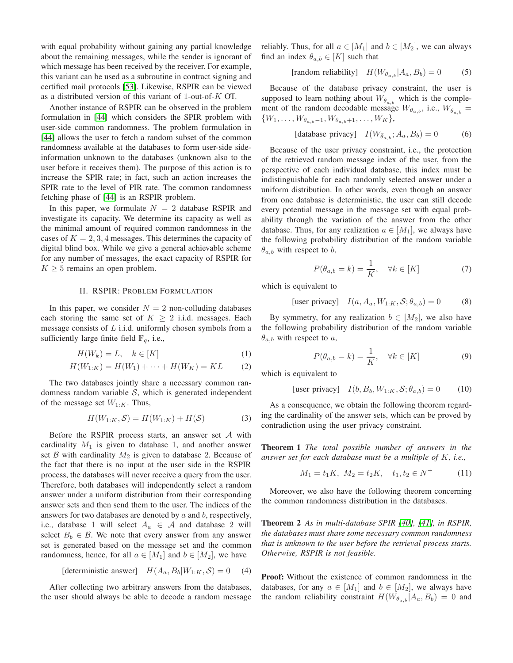with equal probability without gaining any partial knowledge about the remaining messages, while the sender is ignorant of which message has been received by the receiver. For example, this variant can be used as a subroutine in contract signing and certified mail protocols [\[53\]](#page-5-13). Likewise, RSPIR can be viewed as a distributed version of this variant of 1-out-of-K OT.

Another instance of RSPIR can be observed in the problem formulation in [\[44\]](#page-5-14) which considers the SPIR problem with user-side common randomness. The problem formulation in [\[44\]](#page-5-14) allows the user to fetch a random subset of the common randomness available at the databases to form user-side sideinformation unknown to the databases (unknown also to the user before it receives them). The purpose of this action is to increase the SPIR rate; in fact, such an action increases the SPIR rate to the level of PIR rate. The common randomness fetching phase of [\[44\]](#page-5-14) is an RSPIR problem.

In this paper, we formulate  $N = 2$  database RSPIR and investigate its capacity. We determine its capacity as well as the minimal amount of required common randomness in the cases of  $K = 2, 3, 4$  messages. This determines the capacity of digital blind box. While we give a general achievable scheme for any number of messages, the exact capacity of RSPIR for  $K \geq 5$  remains an open problem.

## II. RSPIR: PROBLEM FORMULATION

In this paper, we consider  $N = 2$  non-colluding databases each storing the same set of  $K \geq 2$  i.i.d. messages. Each message consists of  $L$  i.i.d. uniformly chosen symbols from a sufficiently large finite field  $\mathbb{F}_q$ , i.e.,

$$
H(W_k) = L, \quad k \in [K]
$$
 (1)

$$
H(W_{1:K}) = H(W_1) + \dots + H(W_K) = KL \tag{2}
$$

The two databases jointly share a necessary common randomness random variable  $S$ , which is generated independent of the message set  $W_{1:K}$ . Thus,

$$
H(W_{1:K}, \mathcal{S}) = H(W_{1:K}) + H(\mathcal{S})
$$
\n(3)

Before the RSPIR process starts, an answer set  $A$  with cardinality  $M_1$  is given to database 1, and another answer set  $\beta$  with cardinality  $M_2$  is given to database 2. Because of the fact that there is no input at the user side in the RSPIR process, the databases will never receive a query from the user. Therefore, both databases will independently select a random answer under a uniform distribution from their corresponding answer sets and then send them to the user. The indices of the answers for two databases are denoted by  $a$  and  $b$ , respectively, i.e., database 1 will select  $A_a \in \mathcal{A}$  and database 2 will select  $B_b \in \mathcal{B}$ . We note that every answer from any answer set is generated based on the message set and the common randomness, hence, for all  $a \in [M_1]$  and  $b \in [M_2]$ , we have

$$
[deterministic answer] \quad H(A_a, B_b | W_{1:K}, \mathcal{S}) = 0 \quad (4)
$$

After collecting two arbitrary answers from the databases, the user should always be able to decode a random message reliably. Thus, for all  $a \in [M_1]$  and  $b \in [M_2]$ , we can always find an index  $\theta_{a,b} \in [K]$  such that

<span id="page-1-4"></span>
$$
[random reliability] \quad H(W_{\theta_{a,b}} | A_a, B_b) = 0 \tag{5}
$$

Because of the database privacy constraint, the user is supposed to learn nothing about  $W_{\bar{\theta}_{a,b}}$  which is the complement of the random decodable message  $W_{\theta_{a,b}}$ , i.e.,  $W_{\bar{\theta}_{a,b}} =$  $\{W_1, \ldots, W_{\theta_{a,b}-1}, W_{\theta_{a,b}+1}, \ldots, W_K\},\$ 

<span id="page-1-3"></span>
$$
[database privacy] \quad I(W_{\bar{\theta}_a,b}; A_a, B_b) = 0 \tag{6}
$$

Because of the user privacy constraint, i.e., the protection of the retrieved random message index of the user, from the perspective of each individual database, this index must be indistinguishable for each randomly selected answer under a uniform distribution. In other words, even though an answer from one database is deterministic, the user can still decode every potential message in the message set with equal probability through the variation of the answer from the other database. Thus, for any realization  $a \in [M_1]$ , we always have the following probability distribution of the random variable  $\theta_{a,b}$  with respect to b,

<span id="page-1-1"></span><span id="page-1-0"></span>
$$
P(\theta_{a,b} = k) = \frac{1}{K}, \quad \forall k \in [K]
$$
 (7)

which is equivalent to

[user privacy] 
$$
I(a, A_a, W_{1:K}, S; \theta_{a,b}) = 0
$$
 (8)

By symmetry, for any realization  $b \in [M_2]$ , we also have the following probability distribution of the random variable  $\theta_{a,b}$  with respect to a,

<span id="page-1-5"></span><span id="page-1-2"></span>
$$
P(\theta_{a,b} = k) = \frac{1}{K}, \quad \forall k \in [K]
$$
 (9)

which is equivalent to

[user privacy] 
$$
I(b, B_b, W_{1:K}, \mathcal{S}; \theta_{a,b}) = 0
$$
 (10)

<span id="page-1-7"></span>As a consequence, we obtain the following theorem regarding the cardinality of the answer sets, which can be proved by contradiction using the user privacy constraint.

Theorem 1 *The total possible number of answers in the answer set for each database must be a multiple of* K*, i.e.,*

$$
M_1 = t_1 K, \ M_2 = t_2 K, \quad t_1, t_2 \in N^+ \tag{11}
$$

Moreover, we also have the following theorem concerning the common randomness distribution in the databases.

Theorem 2 *As in multi-database SPIR [\[40\]](#page-5-8), [\[41\]](#page-5-9), in RSPIR, the databases must share some necessary common randomness that is unknown to the user before the retrieval process starts. Otherwise, RSPIR is not feasible.*

<span id="page-1-6"></span>Proof: Without the existence of common randomness in the databases, for any  $a \in [M_1]$  and  $b \in [M_2]$ , we always have the random reliability constraint  $H(W_{\theta_{a,b}} | A_a, B_b) = 0$  and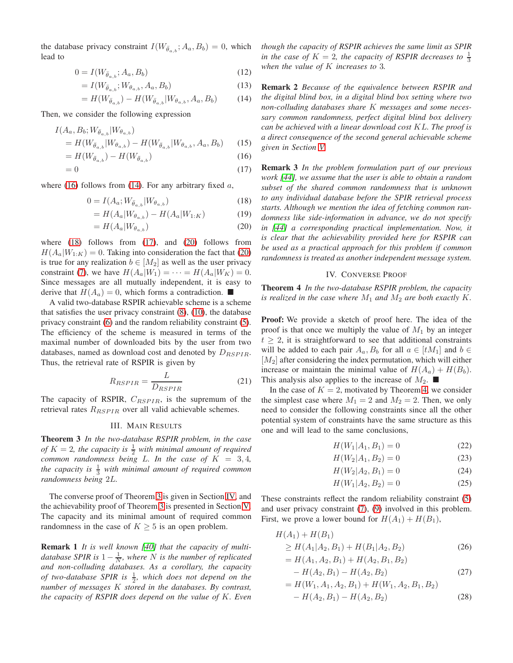the database privacy constraint  $I(W_{\bar{\theta}_a,b}; A_a, B_b) = 0$ , which lead to

$$
0 = I(W_{\bar{\theta}_{a,b}}; A_a, B_b)
$$
\n<sup>(12)</sup>

$$
= I(W_{\bar{\theta}_{a,b}}; W_{\theta_{a,b}}, A_a, B_b)
$$
\n
$$
(13)
$$

$$
= H(W_{\bar{\theta}_{a,b}}) - H(W_{\bar{\theta}_{a,b}}|W_{\theta_{a,b}}, A_a, B_b)
$$
 (14)

Then, we consider the following expression

$$
I(A_a, B_b; W_{\bar{\theta}_{a,b}} | W_{\theta_{a,b}})
$$
  
=  $H(W_{\bar{\theta}_{a,b}} | W_{\theta_{a,b}}) - H(W_{\bar{\theta}_{a,b}} | W_{\theta_{a,b}}, A_a, B_b)$  (15)

$$
=H(W_{\bar{\theta}_{a,b}})-H(W_{\bar{\theta}_{a,b}})
$$
\n<sup>(16)</sup>

$$
=0\tag{17}
$$

where [\(16\)](#page-2-0) follows from [\(14\)](#page-2-1). For any arbitrary fixed  $a$ ,

$$
0 = I(A_a; W_{\bar{\theta}_{a,b}} | W_{\theta_{a,b}})
$$
\n
$$
(18)
$$

$$
=H(A_a|W_{\theta_{a,b}}) - H(A_a|W_{1:K})
$$
\n(19)

$$
=H(A_a|W_{\theta_{a,b}}) \tag{20}
$$

where  $(18)$  follows from  $(17)$ , and  $(20)$  follows from  $H(A_a|W_{1:K}) = 0$ . Taking into consideration the fact that [\(20\)](#page-2-4) is true for any realization  $b \in [M_2]$  as well as the user privacy constraint [\(7\)](#page-1-0), we have  $H(A_a|W_1) = \cdots = H(A_a|W_K) = 0$ . Since messages are all mutually independent, it is easy to derive that  $H(A_a) = 0$ , which forms a contradiction.

A valid two-database RSPIR achievable scheme is a scheme that satisfies the user privacy constraint [\(8\)](#page-1-1), [\(10\)](#page-1-2), the database privacy constraint [\(6\)](#page-1-3) and the random reliability constraint [\(5\)](#page-1-4). The efficiency of the scheme is measured in terms of the maximal number of downloaded bits by the user from two databases, named as download cost and denoted by  $D_{RSPIR}$ . Thus, the retrieval rate of RSPIR is given by

$$
R_{RSPIR} = \frac{L}{D_{RSPIR}}\tag{21}
$$

The capacity of RSPIR,  $C_{RSPIR}$ , is the supremum of the retrieval rates  $R_{RSPIR}$  over all valid achievable schemes.

## III. MAIN RESULTS

<span id="page-2-5"></span>Theorem 3 *In the two-database RSPIR problem, in the case of*  $K = 2$ , the capacity is  $\frac{1}{2}$  with minimal amount of required *common randomness being* L. In the case of  $K = 3, 4$ , *the capacity is*  $\frac{1}{3}$  *with minimal amount of required common randomness being* 2L*.*

The converse proof of Theorem [3](#page-2-5) is given in Section [IV,](#page-2-6) and the achievability proof of Theorem [3](#page-2-5) is presented in Section [V.](#page-3-0) The capacity and its minimal amount of required common randomness in the case of  $K \geq 5$  is an open problem.

Remark 1 *It is well known [\[40\]](#page-5-8) that the capacity of multidatabase SPIR is*  $1 - \frac{1}{N}$ *, where* N *is the number of replicated and non-colluding databases. As a corollary, the capacity of two-database SPIR is*  $\frac{1}{2}$ *, which does not depend on the number of messages* K *stored in the databases. By contrast, the capacity of RSPIR does depend on the value of* K*. Even* *though the capacity of RSPIR achieves the same limit as SPIR in the case of*  $K = 2$ , the capacity of RSPIR decreases to  $\frac{1}{3}$ *when the value of* K *increases to* 3*.*

<span id="page-2-1"></span>Remark 2 *Because of the equivalence between RSPIR and the digital blind box, in a digital blind box setting where two non-colluding databases share* K *messages and some necessary common randomness, perfect digital blind box delivery can be achieved with a linear download cost* KL*. The proof is a direct consequence of the second general achievable scheme given in Section [V.](#page-3-0)*

<span id="page-2-4"></span><span id="page-2-3"></span><span id="page-2-2"></span><span id="page-2-0"></span>Remark 3 *In the problem formulation part of our previous work [\[44\]](#page-5-14), we assume that the user is able to obtain a random subset of the shared common randomness that is unknown to any individual database before the SPIR retrieval process starts. Although we mention the idea of fetching common randomness like side-information in advance, we do not specify in [\[44\]](#page-5-14) a corresponding practical implementation. Now, it is clear that the achievability provided here for RSPIR can be used as a practical approach for this problem if common randomness is treated as another independent message system.*

## IV. CONVERSE PROOF

<span id="page-2-7"></span><span id="page-2-6"></span>Theorem 4 *In the two-database RSPIR problem, the capacity is realized in the case where*  $M_1$  *and*  $M_2$  *are both exactly*  $K$ *.* 

Proof: We provide a sketch of proof here. The idea of the proof is that once we multiply the value of  $M_1$  by an integer  $t \geq 2$ , it is straightforward to see that additional constraints will be added to each pair  $A_a, B_b$  for all  $a \in [tM_1]$  and  $b \in$  $[M_2]$  after considering the index permutation, which will either increase or maintain the minimal value of  $H(A_a) + H(B_b)$ . This analysis also applies to the increase of  $M_2$ .

In the case of  $K = 2$ , motivated by Theorem [4,](#page-2-7) we consider the simplest case where  $M_1 = 2$  and  $M_2 = 2$ . Then, we only need to consider the following constraints since all the other potential system of constraints have the same structure as this one and will lead to the same conclusions,

<span id="page-2-9"></span>
$$
H(W_1|A_1, B_1) = 0 \t\t(22)
$$

$$
H(W_2|A_1, B_2) = 0 \t\t(23)
$$

$$
H(W_2|A_2, B_1) = 0 \t\t(24)
$$

<span id="page-2-10"></span><span id="page-2-8"></span>
$$
H(W_1|A_2, B_2) = 0 \t\t(25)
$$

These constraints reflect the random reliability constraint [\(5\)](#page-1-4) and user privacy constraint [\(7\)](#page-1-0), [\(9\)](#page-1-5) involved in this problem. First, we prove a lower bound for  $H(A_1) + H(B_1)$ ,

$$
H(A_1) + H(B_1)
$$
  
\n
$$
\geq H(A_1|A_2, B_1) + H(B_1|A_2, B_2)
$$
 (26)

$$
= H(A_1, A_2, B_1) + H(A_2, B_1, B_2)
$$

$$
- H(A_2, B_1) - H(A_2, B_2)
$$
\n
$$
= H(W_1, A_1, A_2, B_1) + H(W_1, A_2, B_1, B_2)
$$
\n
$$
(27)
$$

$$
-H(A_2, B_1) - H(A_2, B_2) \tag{28}
$$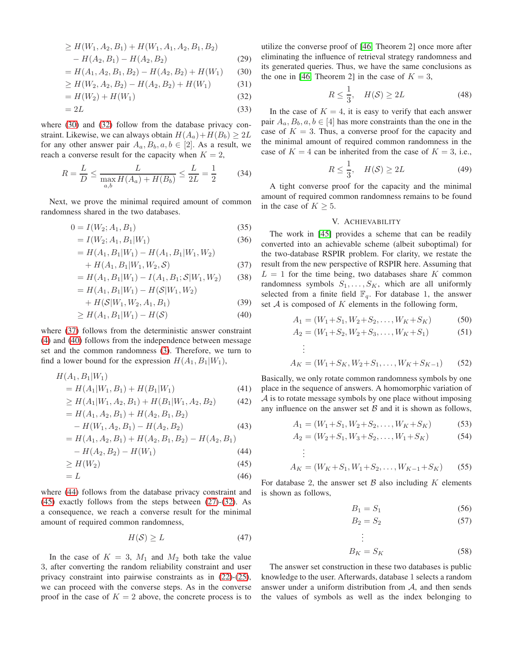$$
\geq H(W_1, A_2, B_1) + H(W_1, A_1, A_2, B_1, B_2)
$$
  
- H(A<sub>2</sub>, B<sub>1</sub>) - H(A<sub>2</sub>, B<sub>2</sub>) (29)

$$
= H(A_1, A_2, B_1, B_2) - H(A_2, B_2) + H(W_1)
$$
 (30)

$$
\geq H(W_2, A_2, B_2) - H(A_2, B_2) + H(W_1) \tag{31}
$$

$$
=H(W_2) + H(W_1)
$$
\n(32)

$$
=2L\tag{33}
$$

where [\(30\)](#page-3-1) and [\(32\)](#page-3-2) follow from the database privacy constraint. Likewise, we can always obtain  $H(A_a)+H(B_b) \geq 2L$ for any other answer pair  $A_a, B_b, a, b \in [2]$ . As a result, we reach a converse result for the capacity when  $K = 2$ ,

$$
R = \frac{L}{D} \le \frac{L}{\max_{a,b} H(A_a) + H(B_b)} \le \frac{L}{2L} = \frac{1}{2}
$$
 (34)

Next, we prove the minimal required amount of common randomness shared in the two databases.

$$
0 = I(W_2; A_1, B_1) \tag{35}
$$

$$
= I(W_2; A_1, B_1 | W_1)
$$
\n(36)

$$
= H(A_1, B_1|W_1) - H(A_1, B_1|W_1, W_2)
$$

$$
+ H(A_1, B_1 | W_1, W_2, S) \tag{37}
$$

$$
= H(A_1, B_1|W_1) - I(A_1, B_1; S|W_1, W_2)
$$
(38)  

$$
= H(A_1, B_1|W_1) - H(S|W_1, W_2)
$$

$$
= H(A_1, B_1|W_1) - H(S|W_1, W_2)
$$
  
+  $H(S|W_1, W_2, A_1, B_1)$  (39)  
>  $H(A, B|W_1) - H(S)$  (40)

$$
\geq H(A_1, B_1 | W_1) - H(\mathcal{S}) \tag{40}
$$

where [\(37\)](#page-3-3) follows from the deterministic answer constraint [\(4\)](#page-1-6) and [\(40\)](#page-3-4) follows from the independence between message set and the common randomness [\(3\)](#page-1-7). Therefore, we turn to find a lower bound for the expression  $H(A_1, B_1|W_1)$ ,

$$
H(A_1, B_1|W_1) = H(A_1|W_1, B_1) + H(B_1|W_1)
$$
\n(41)

$$
\geq H(A_1|W_1, A_2, B_1) + H(B_1|W_1, A_2, B_2) \tag{42}
$$

$$
= H(A_1, A_2, B_1) + H(A_2, B_1, B_2)
$$
  
- H(W<sub>1</sub>, A<sub>2</sub>, B<sub>1</sub>) - H(A<sub>2</sub>, B<sub>2</sub>) (43)

$$
= H(A_1, A_2, B_1) + H(A_2, B_1, B_2) - H(A_2, B_1)
$$
\n
$$
H(A_1, B_2) - H(W_1)
$$
\n(44)

$$
- \Pi(A_2, D_2) - \Pi(W_1) \tag{44}
$$

$$
\geq H(W_2) \tag{45}
$$

$$
=L\tag{46}
$$

where [\(44\)](#page-3-5) follows from the database privacy constraint and [\(45\)](#page-3-6) exactly follows from the steps between [\(27\)](#page-2-8)-[\(32\)](#page-3-2). As a consequence, we reach a converse result for the minimal amount of required common randomness,

$$
H(\mathcal{S}) \ge L \tag{47}
$$

In the case of  $K = 3$ ,  $M_1$  and  $M_2$  both take the value 3, after converting the random reliability constraint and user privacy constraint into pairwise constraints as in [\(22\)](#page-2-9)-[\(25\)](#page-2-10), we can proceed with the converse steps. As in the converse proof in the case of  $K = 2$  above, the concrete process is to <span id="page-3-1"></span>utilize the converse proof of [\[46,](#page-5-15) Theorem 2] once more after eliminating the influence of retrieval strategy randomness and its generated queries. Thus, we have the same conclusions as the one in [\[46,](#page-5-15) Theorem 2] in the case of  $K = 3$ ,

<span id="page-3-8"></span>
$$
R \le \frac{1}{3}, \quad H(\mathcal{S}) \ge 2L \tag{48}
$$

<span id="page-3-2"></span>In the case of  $K = 4$ , it is easy to verify that each answer pair  $A_a, B_b, a, b \in [4]$  has more constraints than the one in the case of  $K = 3$ . Thus, a converse proof for the capacity and the minimal amount of required common randomness in the case of  $K = 4$  can be inherited from the case of  $K = 3$ , i.e.,

<span id="page-3-9"></span>
$$
R \le \frac{1}{3}, \quad H(\mathcal{S}) \ge 2L \tag{49}
$$

<span id="page-3-7"></span>A tight converse proof for the capacity and the minimal amount of required common randomness remains to be found in the case of  $K \geq 5$ .

# V. ACHIEVABILITY

<span id="page-3-3"></span><span id="page-3-0"></span>The work in [\[45\]](#page-5-16) provides a scheme that can be readily converted into an achievable scheme (albeit suboptimal) for the two-database RSPIR problem. For clarity, we restate the result from the new perspective of RSPIR here. Assuming that  $L = 1$  for the time being, two databases share K common randomness symbols  $S_1, \ldots, S_K$ , which are all uniformly selected from a finite field  $\mathbb{F}_q$ . For database 1, the answer set  $A$  is composed of  $K$  elements in the following form,

<span id="page-3-4"></span>
$$
A_1 = (W_1 + S_1, W_2 + S_2, \dots, W_K + S_K)
$$
 (50)

$$
A_2 = (W_1 + S_2, W_2 + S_3, \dots, W_K + S_1)
$$
 (51)

:  
\n
$$
A_K = (W_1 + S_K, W_2 + S_1, \dots, W_K + S_{K-1})
$$
\n(52)

Basically, we only rotate common randomness symbols by one place in the sequence of answers. A homomorphic variation of  $\mathcal A$  is to rotate message symbols by one place without imposing any influence on the answer set  $\beta$  and it is shown as follows,

$$
A_1 = (W_1 + S_1, W_2 + S_2, \dots, W_K + S_K)
$$
 (53)

$$
A_2 = (W_2 + S_1, W_3 + S_2, \dots, W_1 + S_K) \tag{54}
$$

:  
\n
$$
A_K = (W_K + S_1, W_1 + S_2, \dots, W_{K-1} + S_K)
$$
\n(55)

<span id="page-3-6"></span><span id="page-3-5"></span>For database 2, the answer set  $\beta$  also including K elements is shown as follows,

> . . .

. .

$$
B_1 = S_1 \tag{56}
$$

$$
B_2 = S_2 \tag{57}
$$

$$
B_K = S_K \tag{58}
$$

The answer set construction in these two databases is public knowledge to the user. Afterwards, database 1 selects a random answer under a uniform distribution from A, and then sends the values of symbols as well as the index belonging to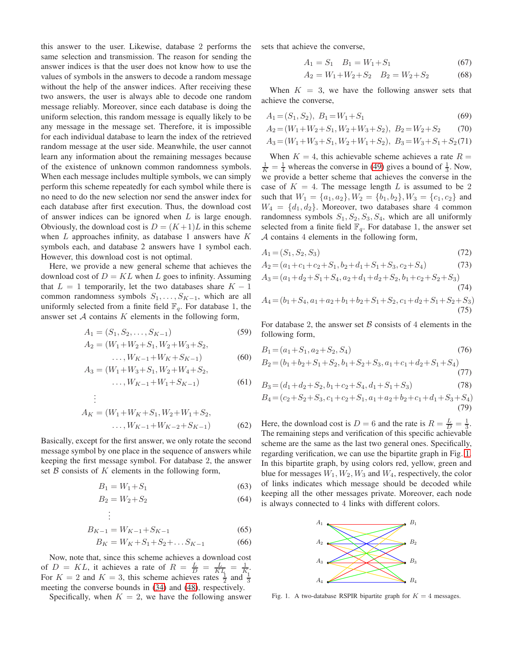this answer to the user. Likewise, database 2 performs the same selection and transmission. The reason for sending the answer indices is that the user does not know how to use the values of symbols in the answers to decode a random message without the help of the answer indices. After receiving these two answers, the user is always able to decode one random message reliably. Moreover, since each database is doing the uniform selection, this random message is equally likely to be any message in the message set. Therefore, it is impossible for each individual database to learn the index of the retrieved random message at the user side. Meanwhile, the user cannot learn any information about the remaining messages because of the existence of unknown common randomness symbols. When each message includes multiple symbols, we can simply perform this scheme repeatedly for each symbol while there is no need to do the new selection nor send the answer index for each database after first execution. Thus, the download cost of answer indices can be ignored when  $L$  is large enough. Obviously, the download cost is  $D = (K+1)L$  in this scheme when  $L$  approaches infinity, as database 1 answers have  $K$ symbols each, and database 2 answers have 1 symbol each. However, this download cost is not optimal.

Here, we provide a new general scheme that achieves the download cost of  $D = KL$  when L goes to infinity. Assuming that  $L = 1$  temporarily, let the two databases share  $K - 1$ common randomness symbols  $S_1, \ldots, S_{K-1}$ , which are all uniformly selected from a finite field  $\mathbb{F}_q$ . For database 1, the answer set  $A$  contains  $K$  elements in the following form,

$$
A_1 = (S_1, S_2, \dots, S_{K-1})
$$
\n
$$
A = (W_1 + W_2 + S_1 W_2 + W_3 + S_2)
$$
\n(59)

$$
A_2 = (W_1 + W_2 + S_1, W_2 + W_3 + S_2,
$$

$$
\dots, W_{K-1} + W_K + S_{K-1})
$$
(60)  

$$
(W_1 + W_2 + S_1 W_2 + W_4 + S_2)
$$

$$
A_3 = (W_1 + W_3 + S_1, W_2 + W_4 + S_2, \dots, W_{K-1} + W_1 + S_{K-1})
$$
\n
$$
\tag{61}
$$

$$
A_K = (W_1 + W_K + S_1, W_2 + W_1 + S_2, \dots, W_{K-1} + W_{K-2} + S_{K-1})
$$
 (62)

Basically, except for the first answer, we only rotate the second message symbol by one place in the sequence of answers while keeping the first message symbol. For database 2, the answer set  $\beta$  consists of  $K$  elements in the following form,

$$
B_1 = W_1 + S_1 \tag{63}
$$

$$
B_2 = W_2 + S_2 \tag{64}
$$

. . .

. .

$$
B_{K-1} = W_{K-1} + S_{K-1} \tag{65}
$$

$$
B_K = W_K + S_1 + S_2 + \dots S_{K-1}
$$
 (66)

Now, note that, since this scheme achieves a download cost of  $D = KL$ , it achieves a rate of  $R = \frac{L}{D} = \frac{L}{KL} = \frac{1}{K}$ . For  $K = 2$  and  $K = 3$ , this scheme achieves rates  $\frac{1}{2}$  and  $\frac{1}{3}$ meeting the converse bounds in [\(34\)](#page-3-7) and [\(48\)](#page-3-8), respectively.

Specifically, when  $K = 2$ , we have the following answer

sets that achieve the converse,

$$
A_1 = S_1 \quad B_1 = W_1 + S_1 \tag{67}
$$

$$
A_2 = W_1 + W_2 + S_2 \t B_2 = W_2 + S_2 \t (68)
$$

When  $K = 3$ , we have the following answer sets that achieve the converse,

$$
A_1 = (S_1, S_2), B_1 = W_1 + S_1 \tag{69}
$$

$$
A_2 = (W_1 + W_2 + S_1, W_2 + W_3 + S_2), B_2 = W_2 + S_2 \tag{70}
$$

$$
A_3 = (W_1 + W_3 + S_1, W_2 + W_1 + S_2), B_3 = W_3 + S_1 + S_2(71)
$$

When  $K = 4$ , this achievable scheme achieves a rate  $R =$  $\frac{1}{K} = \frac{1}{4}$  whereas the converse in [\(49\)](#page-3-9) gives a bound of  $\frac{1}{3}$ . Now, we provide a better scheme that achieves the converse in the case of  $K = 4$ . The message length L is assumed to be 2 such that  $W_1 = \{a_1, a_2\}$ ,  $W_2 = \{b_1, b_2\}$ ,  $W_3 = \{c_1, c_2\}$  and  $W_4 = \{d_1, d_2\}$ . Moreover, two databases share 4 common randomness symbols  $S_1, S_2, S_3, S_4$ , which are all uniformly selected from a finite field  $\mathbb{F}_q$ . For database 1, the answer set A contains 4 elements in the following form,

$$
A_1 = (S_1, S_2, S_3) \tag{72}
$$

$$
A_2 = (a_1 + c_1 + c_2 + S_1, b_2 + d_1 + S_1 + S_3, c_2 + S_4)
$$
\n<sup>(73)</sup>

$$
A_3 = (a_1 + d_2 + S_1 + S_4, a_2 + d_1 + d_2 + S_2, b_1 + c_2 + S_2 + S_3)
$$
  
(74)  

$$
A_4 = (b_1 + S_4, a_1 + a_2 + b_1 + b_2 + S_1 + S_2, c_1 + d_2 + S_1 + S_2 + S_3)
$$
  
(75)

For database 2, the answer set  $\beta$  consists of 4 elements in the following form,

$$
B_1 = (a_1 + S_1, a_2 + S_2, S_4)
$$
\n(76)

$$
B_2 = (b_1 + b_2 + S_1 + S_2, b_1 + S_2 + S_3, a_1 + c_1 + d_2 + S_1 + S_4)
$$
\n
$$
(77)
$$

$$
B_3 = (d_1 + d_2 + S_2, b_1 + c_2 + S_4, d_1 + S_1 + S_3)
$$
(78)  

$$
B_4 = (c_2 + S_2 + S_3, c_1 + c_2 + S_1, a_1 + a_2 + b_2 + c_1 + d_1 + S_3 + S_4)
$$
(79)

Here, the download cost is  $D = 6$  and the rate is  $R = \frac{L}{D} = \frac{1}{3}$ . The remaining steps and verification of this specific achievable scheme are the same as the last two general ones. Specifically, regarding verification, we can use the bipartite graph in Fig. [1.](#page-4-0) In this bipartite graph, by using colors red, yellow, green and blue for messages  $W_1, W_2, W_3$  and  $W_4$ , respectively, the color of links indicates which message should be decoded while keeping all the other messages private. Moreover, each node is always connected to 4 links with different colors.



<span id="page-4-0"></span>Fig. 1. A two-database RSPIR bipartite graph for  $K = 4$  messages.